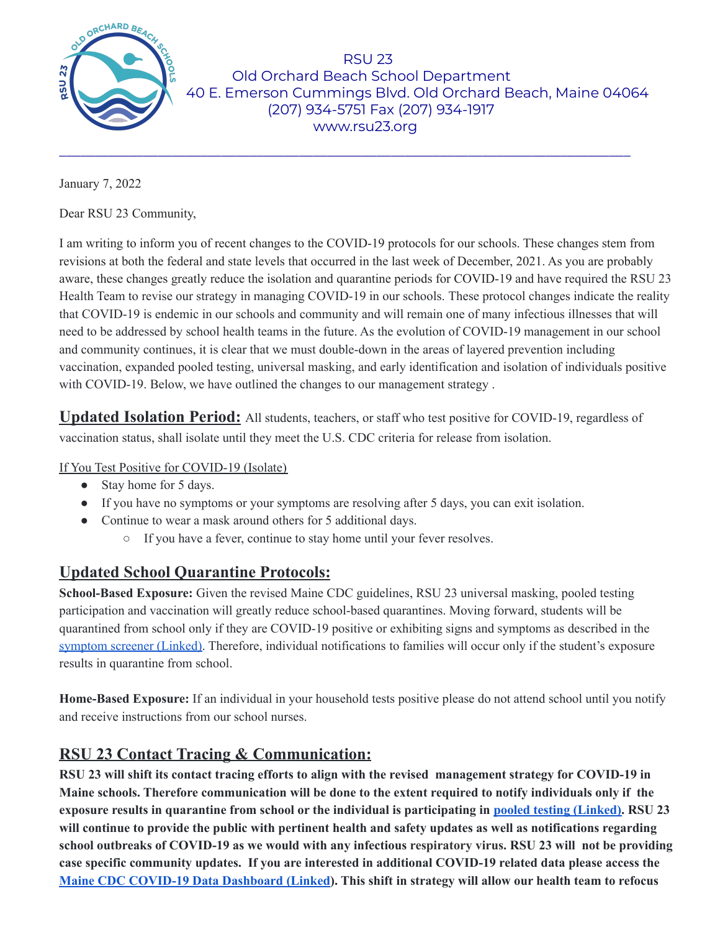

RSU 23 Old Orchard Beach School Department 40 E. Emerson Cummings Blvd. Old Orchard Beach, Maine 04064 (207) 934-5751 Fax (207) 934-1917 www.rsu23.org

January 7, 2022

Dear RSU 23 Community,

I am writing to inform you of recent changes to the COVID-19 protocols for our schools. These changes stem from revisions at both the federal and state levels that occurred in the last week of December, 2021. As you are probably aware, these changes greatly reduce the isolation and quarantine periods for COVID-19 and have required the RSU 23 Health Team to revise our strategy in managing COVID-19 in our schools. These protocol changes indicate the reality that COVID-19 is endemic in our schools and community and will remain one of many infectious illnesses that will need to be addressed by school health teams in the future. As the evolution of COVID-19 management in our school and community continues, it is clear that we must double-down in the areas of layered prevention including vaccination, expanded pooled testing, universal masking, and early identification and isolation of individuals positive with COVID-19. Below, we have outlined the changes to our management strategy.

\_\_\_\_\_\_\_\_\_\_\_\_\_\_\_\_\_\_\_\_\_\_\_\_\_\_\_\_\_\_\_\_\_\_\_\_\_\_\_\_\_\_\_\_\_\_\_\_\_\_\_\_\_\_\_\_\_\_\_\_\_\_\_\_\_\_\_\_\_\_\_\_\_\_\_\_\_\_\_\_\_

**Updated Isolation Period:** All students, teachers, or staff who test positive for COVID-19, regardless of vaccination status, shall isolate until they meet the U.S. CDC criteria for release from isolation.

If You Test Positive for COVID-19 (Isolate)

- Stay home for 5 days.
- If you have no symptoms or your symptoms are resolving after 5 days, you can exit isolation.
- Continue to wear a mask around others for 5 additional days.
	- If you have a fever, continue to stay home until your fever resolves.

## **Updated School Quarantine Protocols:**

**School-Based Exposure:** Given the revised Maine CDC guidelines, RSU 23 universal masking, pooled testing participation and vaccination will greatly reduce school-based quarantines. Moving forward, students will be quarantined from school only if they are COVID-19 positive or exhibiting signs and symptoms as described in the [symptom](https://www.maine.gov/doe/sites/maine.gov.doe/files/inline-files/Maine%20DOE%20Pre-Screening%20Tool%20for%20School%20Attendance%2010.19.2021.pdf) screener (Linked). Therefore, individual notifications to families will occur only if the student's exposure results in quarantine from school.

**Home-Based Exposure:** If an individual in your household tests positive please do not attend school until you notify and receive instructions from our school nurses.

## **RSU 23 Contact Tracing & Communication:**

RSU 23 will shift its contact tracing efforts to align with the revised management strategy for COVID-19 in Maine schools. Therefore communication will be done to the extent required to notify individuals only if the exposure results in quarantine from school or the individual is participating in pooled testing [\(Linked\).](https://docs.google.com/document/d/1VVjgrIYl3vbOiY8JsXwvVBMxJp0_1XfZ3MUxkfibA7Y/edit) RSU 23 will continue to provide the public with pertinent health and safety updates as well as notifications regarding school outbreaks of COVID-19 as we would with any infectious respiratory virus. RSU 23 will not be providing **case specific community updates. If you are interested in additional COVID-19 related data please access the Maine CDC COVID-19 Data [Dashboard](https://www.maine.gov/dhhs/mecdc/infectious-disease/epi/airborne/coronavirus/data.shtml) (Linked). This shift in strategy will allow our health team to refocus**